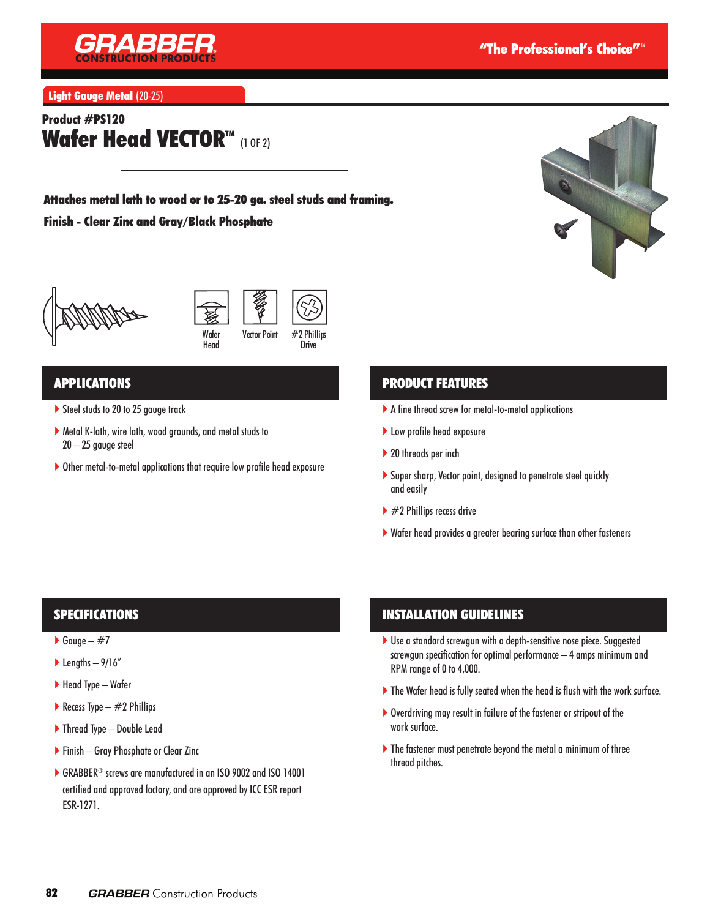

Light Gauge Metal (20-25)

# Product #PS120 Wafer Head VECTORTM (1 OF 2)

Attaches metal lath to wood or to 25-20 ga. steel studs and framing.

#### Finish - Clear Zinc and Gray/Black Phosphate









#### Drive

### APPLICATIONS

- Steel studs to 20 to 25 gauge track
- Metal K-lath, wire lath, wood grounds, and metal studs to 20 – 25 gauge steel
- Other metal-to-metal applications that require low profile head exposure

# PRODUCT FEATURES

- A fine thread screw for metal-to-metal applications
- ▶ Low profile head exposure
- ▶ 20 threads per inch
- Super sharp, Vector point, designed to penetrate steel quickly and easily
- $\blacktriangleright$  #2 Phillips recess drive
- Wafer head provides a greater bearing surface than other fasteners

# SPECIFICATIONS

- $\triangleright$  Gauge #7
- $\blacktriangleright$  Lengths 9/16"
- $\blacktriangleright$  Head Type Wafer
- Recess Type  $-$  #2 Phillips
- ▶ Thread Type Double Lead
- Finish Gray Phosphate or Clear Zinc
- GRABBER® screws are manufactured in an ISO 9002 and ISO 14001 certified and approved factory, and are approved by ICC ESR report ESR-1271.

# INSTALLATION GUIDELINES

- ▶ Use a standard screwgun with a depth-sensitive nose piece. Suggested screwgun specification for optimal performance – 4 amps minimum and RPM range of 0 to 4,000.
- The Wafer head is fully seated when the head is flush with the work surface.
- Overdriving may result in failure of the fastener or stripout of the work surface.
- The fastener must penetrate beyond the metal a minimum of three thread pitches.